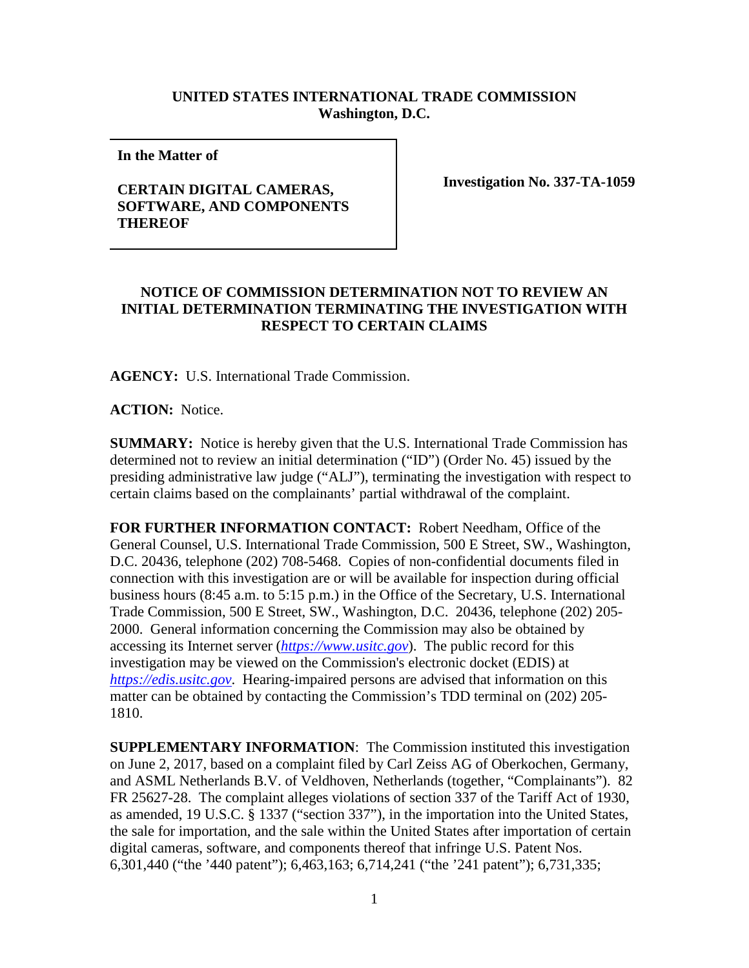## **UNITED STATES INTERNATIONAL TRADE COMMISSION Washington, D.C.**

**In the Matter of** 

## **CERTAIN DIGITAL CAMERAS, SOFTWARE, AND COMPONENTS THEREOF**

**Investigation No. 337-TA-1059**

## **NOTICE OF COMMISSION DETERMINATION NOT TO REVIEW AN INITIAL DETERMINATION TERMINATING THE INVESTIGATION WITH RESPECT TO CERTAIN CLAIMS**

**AGENCY:** U.S. International Trade Commission.

**ACTION:** Notice.

**SUMMARY:** Notice is hereby given that the U.S. International Trade Commission has determined not to review an initial determination ("ID") (Order No. 45) issued by the presiding administrative law judge ("ALJ"), terminating the investigation with respect to certain claims based on the complainants' partial withdrawal of the complaint.

**FOR FURTHER INFORMATION CONTACT:** Robert Needham, Office of the General Counsel, U.S. International Trade Commission, 500 E Street, SW., Washington, D.C. 20436, telephone (202) 708-5468. Copies of non-confidential documents filed in connection with this investigation are or will be available for inspection during official business hours (8:45 a.m. to 5:15 p.m.) in the Office of the Secretary, U.S. International Trade Commission, 500 E Street, SW., Washington, D.C. 20436, telephone (202) 205- 2000. General information concerning the Commission may also be obtained by accessing its Internet server (*[https://www.usitc.gov](https://www.usitc.gov/)*). The public record for this investigation may be viewed on the Commission's electronic docket (EDIS) at *[https://edis.usitc.gov](https://edis.usitc.gov/)*. Hearing-impaired persons are advised that information on this matter can be obtained by contacting the Commission's TDD terminal on (202) 205- 1810.

**SUPPLEMENTARY INFORMATION**: The Commission instituted this investigation on June 2, 2017, based on a complaint filed by Carl Zeiss AG of Oberkochen, Germany, and ASML Netherlands B.V. of Veldhoven, Netherlands (together, "Complainants"). 82 FR 25627-28. The complaint alleges violations of section 337 of the Tariff Act of 1930, as amended, 19 U.S.C. § 1337 ("section 337"), in the importation into the United States, the sale for importation, and the sale within the United States after importation of certain digital cameras, software, and components thereof that infringe U.S. Patent Nos. 6,301,440 ("the '440 patent"); 6,463,163; 6,714,241 ("the '241 patent"); 6,731,335;